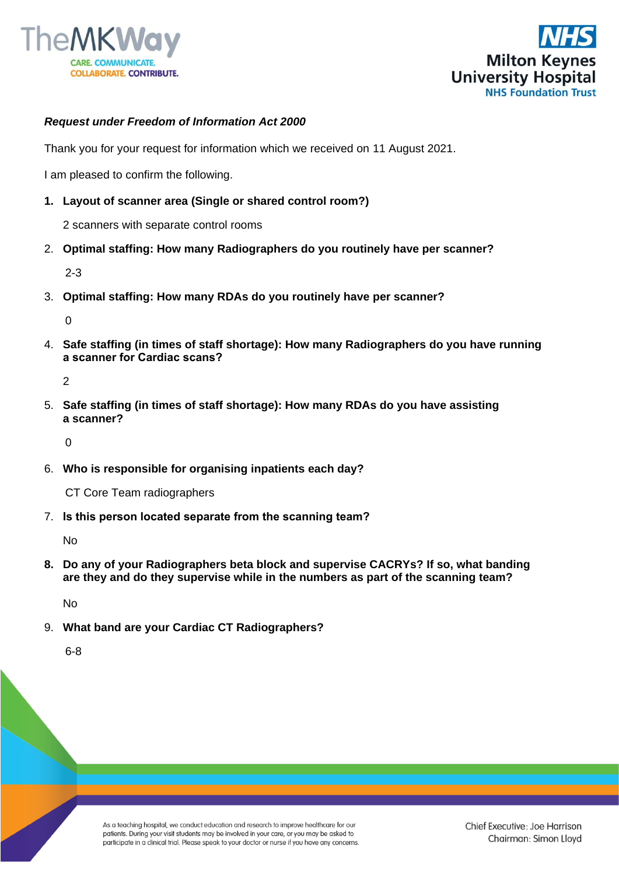



## *Request under Freedom of Information Act 2000*

Thank you for your request for information which we received on 11 August 2021.

I am pleased to confirm the following.

**1. Layout of scanner area (Single or shared control room?)**

2 scanners with separate control rooms

2. **Optimal staffing: How many Radiographers do you routinely have per scanner?**

2-3

3. **Optimal staffing: How many RDAs do you routinely have per scanner?**

 $\Omega$ 

4. **Safe staffing (in times of staff shortage): How many Radiographers do you have running a scanner for Cardiac scans?**

2

5. **Safe staffing (in times of staff shortage): How many RDAs do you have assisting a scanner?**

 $\Omega$ 

6. **Who is responsible for organising inpatients each day?**

CT Core Team radiographers

7. **Is this person located separate from the scanning team?**

No

**8. Do any of your Radiographers beta block and supervise CACRYs? If so, what banding are they and do they supervise while in the numbers as part of the scanning team?**

No

9. **What band are your Cardiac CT Radiographers?**

6-8

As a teaching hospital, we conduct education and research to improve healthcare for our patients. During your visit students may be involved in your care, or you may be asked to participate in a clinical trial. Please speak to your doctor or nurse if you have any concerns.